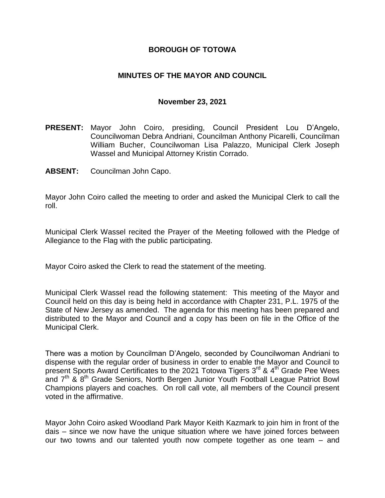### **BOROUGH OF TOTOWA**

### **MINUTES OF THE MAYOR AND COUNCIL**

#### **November 23, 2021**

- **PRESENT:** Mayor John Coiro, presiding, Council President Lou D'Angelo, Councilwoman Debra Andriani, Councilman Anthony Picarelli, Councilman William Bucher, Councilwoman Lisa Palazzo, Municipal Clerk Joseph Wassel and Municipal Attorney Kristin Corrado.
- **ABSENT:** Councilman John Capo.

Mayor John Coiro called the meeting to order and asked the Municipal Clerk to call the roll.

Municipal Clerk Wassel recited the Prayer of the Meeting followed with the Pledge of Allegiance to the Flag with the public participating.

Mayor Coiro asked the Clerk to read the statement of the meeting.

Municipal Clerk Wassel read the following statement: This meeting of the Mayor and Council held on this day is being held in accordance with Chapter 231, P.L. 1975 of the State of New Jersey as amended. The agenda for this meeting has been prepared and distributed to the Mayor and Council and a copy has been on file in the Office of the Municipal Clerk.

There was a motion by Councilman D'Angelo, seconded by Councilwoman Andriani to dispense with the regular order of business in order to enable the Mayor and Council to present Sports Award Certificates to the 2021 Totowa Tigers 3<sup>rd</sup> & 4<sup>th</sup> Grade Pee Wees and 7<sup>th</sup> & 8<sup>th</sup> Grade Seniors, North Bergen Junior Youth Football League Patriot Bowl Champions players and coaches. On roll call vote, all members of the Council present voted in the affirmative.

Mayor John Coiro asked Woodland Park Mayor Keith Kazmark to join him in front of the dais – since we now have the unique situation where we have joined forces between our two towns and our talented youth now compete together as one team – and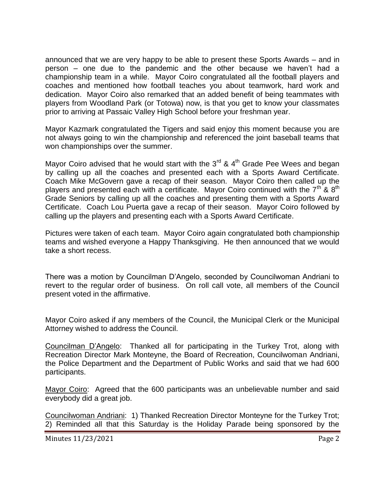announced that we are very happy to be able to present these Sports Awards – and in person – one due to the pandemic and the other because we haven't had a championship team in a while. Mayor Coiro congratulated all the football players and coaches and mentioned how football teaches you about teamwork, hard work and dedication. Mayor Coiro also remarked that an added benefit of being teammates with players from Woodland Park (or Totowa) now, is that you get to know your classmates prior to arriving at Passaic Valley High School before your freshman year.

Mayor Kazmark congratulated the Tigers and said enjoy this moment because you are not always going to win the championship and referenced the joint baseball teams that won championships over the summer.

Mayor Coiro advised that he would start with the  $3^{rd}$  &  $4^{th}$  Grade Pee Wees and began by calling up all the coaches and presented each with a Sports Award Certificate. Coach Mike McGovern gave a recap of their season. Mayor Coiro then called up the players and presented each with a certificate. Mayor Coiro continued with the  $7<sup>th</sup>$  &  $8<sup>th</sup>$ Grade Seniors by calling up all the coaches and presenting them with a Sports Award Certificate. Coach Lou Puerta gave a recap of their season. Mayor Coiro followed by calling up the players and presenting each with a Sports Award Certificate.

Pictures were taken of each team. Mayor Coiro again congratulated both championship teams and wished everyone a Happy Thanksgiving. He then announced that we would take a short recess.

There was a motion by Councilman D'Angelo, seconded by Councilwoman Andriani to revert to the regular order of business. On roll call vote, all members of the Council present voted in the affirmative.

Mayor Coiro asked if any members of the Council, the Municipal Clerk or the Municipal Attorney wished to address the Council.

Councilman D'Angelo: Thanked all for participating in the Turkey Trot, along with Recreation Director Mark Monteyne, the Board of Recreation, Councilwoman Andriani, the Police Department and the Department of Public Works and said that we had 600 participants.

Mayor Coiro: Agreed that the 600 participants was an unbelievable number and said everybody did a great job.

Councilwoman Andriani: 1) Thanked Recreation Director Monteyne for the Turkey Trot; 2) Reminded all that this Saturday is the Holiday Parade being sponsored by the

Minutes 11/23/2021 **Page 2**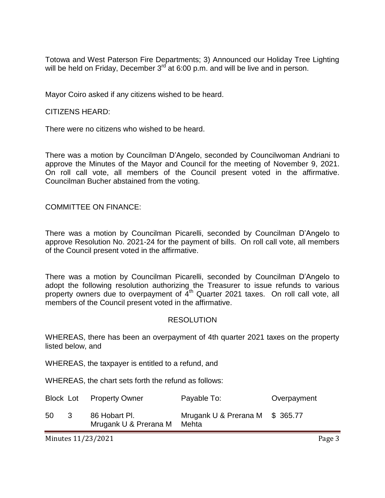Totowa and West Paterson Fire Departments; 3) Announced our Holiday Tree Lighting will be held on Friday, December 3<sup>rd</sup> at 6:00 p.m. and will be live and in person.

Mayor Coiro asked if any citizens wished to be heard.

CITIZENS HEARD:

There were no citizens who wished to be heard.

There was a motion by Councilman D'Angelo, seconded by Councilwoman Andriani to approve the Minutes of the Mayor and Council for the meeting of November 9, 2021. On roll call vote, all members of the Council present voted in the affirmative. Councilman Bucher abstained from the voting.

COMMITTEE ON FINANCE:

There was a motion by Councilman Picarelli, seconded by Councilman D'Angelo to approve Resolution No. 2021-24 for the payment of bills. On roll call vote, all members of the Council present voted in the affirmative.

There was a motion by Councilman Picarelli, seconded by Councilman D'Angelo to adopt the following resolution authorizing the Treasurer to issue refunds to various property owners due to overpayment of  $\tilde{4}^{th}$  Quarter 2021 taxes. On roll call vote, all members of the Council present voted in the affirmative.

#### RESOLUTION

WHEREAS, there has been an overpayment of 4th quarter 2021 taxes on the property listed below, and

WHEREAS, the taxpayer is entitled to a refund, and

WHEREAS, the chart sets forth the refund as follows:

|     |    | Block Lot Property Owner                     | Payable To:                     | Overpayment |
|-----|----|----------------------------------------------|---------------------------------|-------------|
| -50 | ્વ | 86 Hobart Pl.<br>Mrugank U & Prerana M Mehta | Mrugank U & Prerana M \$ 365.77 |             |

Minutes 11/23/2021 Page 3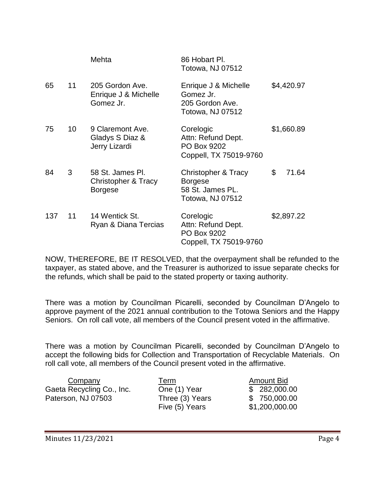|     |    | Mehta                                                     | 86 Hobart Pl.<br>Totowa, NJ 07512                                                        |             |
|-----|----|-----------------------------------------------------------|------------------------------------------------------------------------------------------|-------------|
| 65  | 11 | 205 Gordon Ave.<br>Enrique J & Michelle<br>Gomez Jr.      | Enrique J & Michelle<br>Gomez Jr.<br>205 Gordon Ave.<br>Totowa, NJ 07512                 | \$4,420.97  |
| 75  | 10 | 9 Claremont Ave.<br>Gladys S Diaz &<br>Jerry Lizardi      | Corelogic<br>Attn: Refund Dept.<br>PO Box 9202<br>Coppell, TX 75019-9760                 | \$1,660.89  |
| 84  | 3  | 58 St. James Pl.<br>Christopher & Tracy<br><b>Borgese</b> | <b>Christopher &amp; Tracy</b><br><b>Borgese</b><br>58 St. James PL.<br>Totowa, NJ 07512 | \$<br>71.64 |
| 137 | 11 | 14 Wentick St.<br>Ryan & Diana Tercias                    | Corelogic<br>Attn: Refund Dept.<br>PO Box 9202<br>Coppell, TX 75019-9760                 | \$2,897.22  |

NOW, THEREFORE, BE IT RESOLVED, that the overpayment shall be refunded to the taxpayer, as stated above, and the Treasurer is authorized to issue separate checks for the refunds, which shall be paid to the stated property or taxing authority.

There was a motion by Councilman Picarelli, seconded by Councilman D'Angelo to approve payment of the 2021 annual contribution to the Totowa Seniors and the Happy Seniors. On roll call vote, all members of the Council present voted in the affirmative.

There was a motion by Councilman Picarelli, seconded by Councilman D'Angelo to accept the following bids for Collection and Transportation of Recyclable Materials. On roll call vote, all members of the Council present voted in the affirmative.

| Company                   | Term            | Amount Bid     |
|---------------------------|-----------------|----------------|
| Gaeta Recycling Co., Inc. | One (1) Year    | \$282,000.00   |
| Paterson, NJ 07503        | Three (3) Years | \$750,000.00   |
|                           | Five (5) Years  | \$1,200,000.00 |
|                           |                 |                |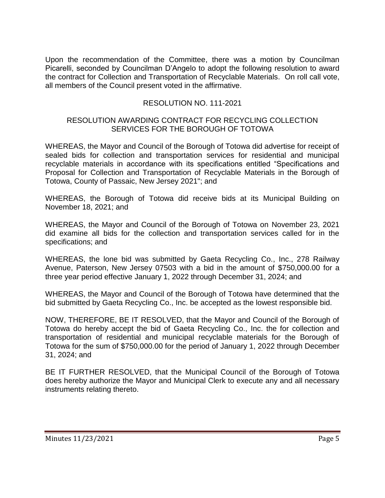Upon the recommendation of the Committee, there was a motion by Councilman Picarelli, seconded by Councilman D'Angelo to adopt the following resolution to award the contract for Collection and Transportation of Recyclable Materials. On roll call vote, all members of the Council present voted in the affirmative.

### RESOLUTION NO. 111-2021

#### RESOLUTION AWARDING CONTRACT FOR RECYCLING COLLECTION SERVICES FOR THE BOROUGH OF TOTOWA

WHEREAS, the Mayor and Council of the Borough of Totowa did advertise for receipt of sealed bids for collection and transportation services for residential and municipal recyclable materials in accordance with its specifications entitled "Specifications and Proposal for Collection and Transportation of Recyclable Materials in the Borough of Totowa, County of Passaic, New Jersey 2021"; and

WHEREAS, the Borough of Totowa did receive bids at its Municipal Building on November 18, 2021; and

WHEREAS, the Mayor and Council of the Borough of Totowa on November 23, 2021 did examine all bids for the collection and transportation services called for in the specifications; and

WHEREAS, the lone bid was submitted by Gaeta Recycling Co., Inc., 278 Railway Avenue, Paterson, New Jersey 07503 with a bid in the amount of \$750,000.00 for a three year period effective January 1, 2022 through December 31, 2024; and

WHEREAS, the Mayor and Council of the Borough of Totowa have determined that the bid submitted by Gaeta Recycling Co., Inc. be accepted as the lowest responsible bid.

NOW, THEREFORE, BE IT RESOLVED, that the Mayor and Council of the Borough of Totowa do hereby accept the bid of Gaeta Recycling Co., Inc. the for collection and transportation of residential and municipal recyclable materials for the Borough of Totowa for the sum of \$750,000.00 for the period of January 1, 2022 through December 31, 2024; and

BE IT FURTHER RESOLVED, that the Municipal Council of the Borough of Totowa does hereby authorize the Mayor and Municipal Clerk to execute any and all necessary instruments relating thereto.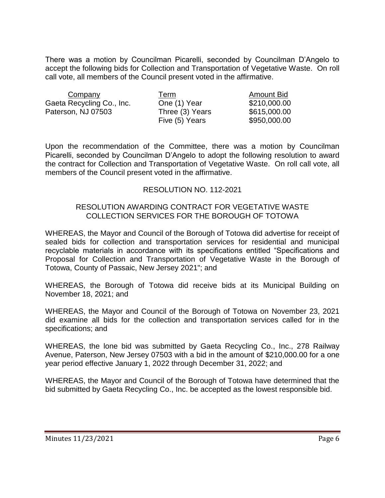There was a motion by Councilman Picarelli, seconded by Councilman D'Angelo to accept the following bids for Collection and Transportation of Vegetative Waste. On roll call vote, all members of the Council present voted in the affirmative.

| Company                   | Term            | <b>Amount Bid</b> |
|---------------------------|-----------------|-------------------|
| Gaeta Recycling Co., Inc. | One (1) Year    | \$210,000.00      |
| Paterson, NJ 07503        | Three (3) Years | \$615,000.00      |
|                           | Five (5) Years  | \$950,000.00      |

Upon the recommendation of the Committee, there was a motion by Councilman Picarelli, seconded by Councilman D'Angelo to adopt the following resolution to award the contract for Collection and Transportation of Vegetative Waste. On roll call vote, all members of the Council present voted in the affirmative.

### RESOLUTION NO. 112-2021

#### RESOLUTION AWARDING CONTRACT FOR VEGETATIVE WASTE COLLECTION SERVICES FOR THE BOROUGH OF TOTOWA

WHEREAS, the Mayor and Council of the Borough of Totowa did advertise for receipt of sealed bids for collection and transportation services for residential and municipal recyclable materials in accordance with its specifications entitled "Specifications and Proposal for Collection and Transportation of Vegetative Waste in the Borough of Totowa, County of Passaic, New Jersey 2021"; and

WHEREAS, the Borough of Totowa did receive bids at its Municipal Building on November 18, 2021; and

WHEREAS, the Mayor and Council of the Borough of Totowa on November 23, 2021 did examine all bids for the collection and transportation services called for in the specifications; and

WHEREAS, the lone bid was submitted by Gaeta Recycling Co., Inc., 278 Railway Avenue, Paterson, New Jersey 07503 with a bid in the amount of \$210,000.00 for a one year period effective January 1, 2022 through December 31, 2022; and

WHEREAS, the Mayor and Council of the Borough of Totowa have determined that the bid submitted by Gaeta Recycling Co., Inc. be accepted as the lowest responsible bid.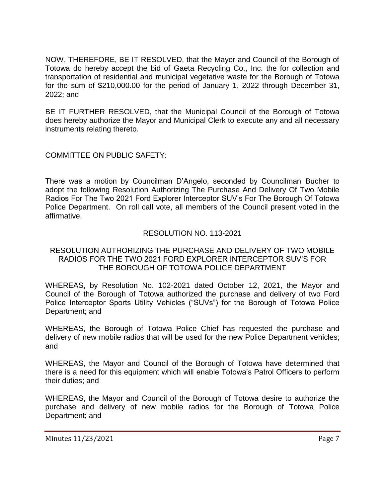NOW, THEREFORE, BE IT RESOLVED, that the Mayor and Council of the Borough of Totowa do hereby accept the bid of Gaeta Recycling Co., Inc. the for collection and transportation of residential and municipal vegetative waste for the Borough of Totowa for the sum of \$210,000.00 for the period of January 1, 2022 through December 31, 2022; and

BE IT FURTHER RESOLVED, that the Municipal Council of the Borough of Totowa does hereby authorize the Mayor and Municipal Clerk to execute any and all necessary instruments relating thereto.

COMMITTEE ON PUBLIC SAFETY:

There was a motion by Councilman D'Angelo, seconded by Councilman Bucher to adopt the following Resolution Authorizing The Purchase And Delivery Of Two Mobile Radios For The Two 2021 Ford Explorer Interceptor SUV's For The Borough Of Totowa Police Department. On roll call vote, all members of the Council present voted in the affirmative.

# RESOLUTION NO. 113-2021

### RESOLUTION AUTHORIZING THE PURCHASE AND DELIVERY OF TWO MOBILE RADIOS FOR THE TWO 2021 FORD EXPLORER INTERCEPTOR SUV'S FOR THE BOROUGH OF TOTOWA POLICE DEPARTMENT

WHEREAS, by Resolution No. 102-2021 dated October 12, 2021, the Mayor and Council of the Borough of Totowa authorized the purchase and delivery of two Ford Police Interceptor Sports Utility Vehicles ("SUVs") for the Borough of Totowa Police Department; and

WHEREAS, the Borough of Totowa Police Chief has requested the purchase and delivery of new mobile radios that will be used for the new Police Department vehicles; and

WHEREAS, the Mayor and Council of the Borough of Totowa have determined that there is a need for this equipment which will enable Totowa's Patrol Officers to perform their duties; and

WHEREAS, the Mayor and Council of the Borough of Totowa desire to authorize the purchase and delivery of new mobile radios for the Borough of Totowa Police Department; and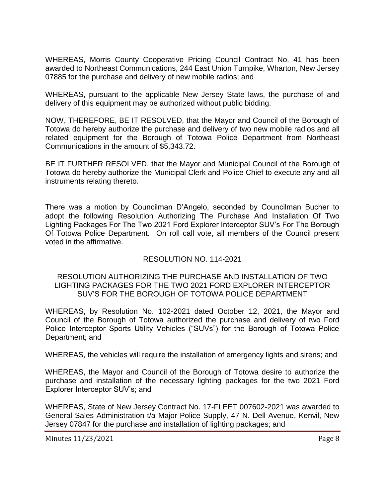WHEREAS, Morris County Cooperative Pricing Council Contract No. 41 has been awarded to Northeast Communications, 244 East Union Turnpike, Wharton, New Jersey 07885 for the purchase and delivery of new mobile radios; and

WHEREAS, pursuant to the applicable New Jersey State laws, the purchase of and delivery of this equipment may be authorized without public bidding.

NOW, THEREFORE, BE IT RESOLVED, that the Mayor and Council of the Borough of Totowa do hereby authorize the purchase and delivery of two new mobile radios and all related equipment for the Borough of Totowa Police Department from Northeast Communications in the amount of \$5,343.72.

BE IT FURTHER RESOLVED, that the Mayor and Municipal Council of the Borough of Totowa do hereby authorize the Municipal Clerk and Police Chief to execute any and all instruments relating thereto.

There was a motion by Councilman D'Angelo, seconded by Councilman Bucher to adopt the following Resolution Authorizing The Purchase And Installation Of Two Lighting Packages For The Two 2021 Ford Explorer Interceptor SUV's For The Borough Of Totowa Police Department. On roll call vote, all members of the Council present voted in the affirmative.

# RESOLUTION NO. 114-2021

#### RESOLUTION AUTHORIZING THE PURCHASE AND INSTALLATION OF TWO LIGHTING PACKAGES FOR THE TWO 2021 FORD EXPLORER INTERCEPTOR SUV'S FOR THE BOROUGH OF TOTOWA POLICE DEPARTMENT

WHEREAS, by Resolution No. 102-2021 dated October 12, 2021, the Mayor and Council of the Borough of Totowa authorized the purchase and delivery of two Ford Police Interceptor Sports Utility Vehicles ("SUVs") for the Borough of Totowa Police Department; and

WHEREAS, the vehicles will require the installation of emergency lights and sirens; and

WHEREAS, the Mayor and Council of the Borough of Totowa desire to authorize the purchase and installation of the necessary lighting packages for the two 2021 Ford Explorer Interceptor SUV's; and

WHEREAS, State of New Jersey Contract No. 17-FLEET 007602-2021 was awarded to General Sales Administration t/a Major Police Supply, 47 N. Dell Avenue, Kenvil, New Jersey 07847 for the purchase and installation of lighting packages; and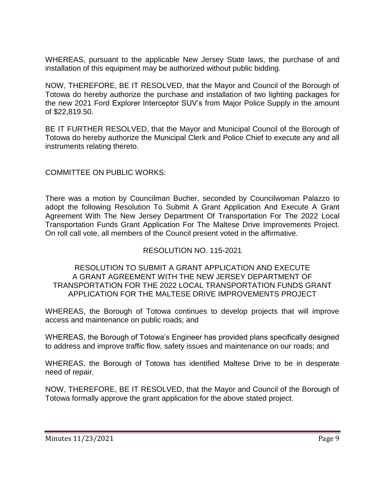WHEREAS, pursuant to the applicable New Jersey State laws, the purchase of and installation of this equipment may be authorized without public bidding.

NOW, THEREFORE, BE IT RESOLVED, that the Mayor and Council of the Borough of Totowa do hereby authorize the purchase and installation of two lighting packages for the new 2021 Ford Explorer Interceptor SUV's from Major Police Supply in the amount of \$22,819.50.

BE IT FURTHER RESOLVED, that the Mayor and Municipal Council of the Borough of Totowa do hereby authorize the Municipal Clerk and Police Chief to execute any and all instruments relating thereto.

# COMMITTEE ON PUBLIC WORKS:

There was a motion by Councilman Bucher, seconded by Councilwoman Palazzo to adopt the following Resolution To Submit A Grant Application And Execute A Grant Agreement With The New Jersey Department Of Transportation For The 2022 Local Transportation Funds Grant Application For The Maltese Drive Improvements Project. On roll call vote, all members of the Council present voted in the affirmative.

### RESOLUTION NO. 115-2021

#### RESOLUTION TO SUBMIT A GRANT APPLICATION AND EXECUTE A GRANT AGREEMENT WITH THE NEW JERSEY DEPARTMENT OF TRANSPORTATION FOR THE 2022 LOCAL TRANSPORTATION FUNDS GRANT APPLICATION FOR THE MALTESE DRIVE IMPROVEMENTS PROJECT

WHEREAS, the Borough of Totowa continues to develop projects that will improve access and maintenance on public roads; and

WHEREAS, the Borough of Totowa's Engineer has provided plans specifically designed to address and improve traffic flow, safety issues and maintenance on our roads; and

WHEREAS, the Borough of Totowa has identified Maltese Drive to be in desperate need of repair.

NOW, THEREFORE, BE IT RESOLVED, that the Mayor and Council of the Borough of Totowa formally approve the grant application for the above stated project.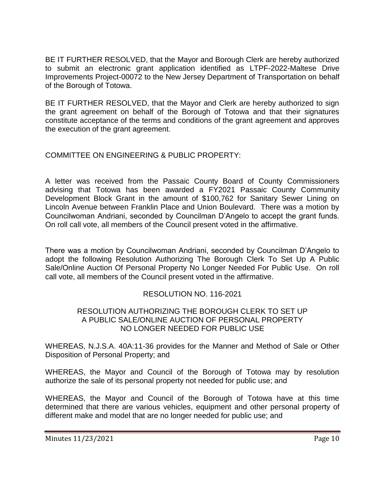BE IT FURTHER RESOLVED, that the Mayor and Borough Clerk are hereby authorized to submit an electronic grant application identified as LTPF-2022-Maltese Drive Improvements Project-00072 to the New Jersey Department of Transportation on behalf of the Borough of Totowa.

BE IT FURTHER RESOLVED, that the Mayor and Clerk are hereby authorized to sign the grant agreement on behalf of the Borough of Totowa and that their signatures constitute acceptance of the terms and conditions of the grant agreement and approves the execution of the grant agreement.

# COMMITTEE ON ENGINEERING & PUBLIC PROPERTY:

A letter was received from the Passaic County Board of County Commissioners advising that Totowa has been awarded a FY2021 Passaic County Community Development Block Grant in the amount of \$100,762 for Sanitary Sewer Lining on Lincoln Avenue between Franklin Place and Union Boulevard. There was a motion by Councilwoman Andriani, seconded by Councilman D'Angelo to accept the grant funds. On roll call vote, all members of the Council present voted in the affirmative.

There was a motion by Councilwoman Andriani, seconded by Councilman D'Angelo to adopt the following Resolution Authorizing The Borough Clerk To Set Up A Public Sale/Online Auction Of Personal Property No Longer Needed For Public Use. On roll call vote, all members of the Council present voted in the affirmative.

# RESOLUTION NO. 116-2021

#### RESOLUTION AUTHORIZING THE BOROUGH CLERK TO SET UP A PUBLIC SALE/ONLINE AUCTION OF PERSONAL PROPERTY NO LONGER NEEDED FOR PUBLIC USE

WHEREAS, N.J.S.A. 40A:11-36 provides for the Manner and Method of Sale or Other Disposition of Personal Property; and

WHEREAS, the Mayor and Council of the Borough of Totowa may by resolution authorize the sale of its personal property not needed for public use; and

WHEREAS, the Mayor and Council of the Borough of Totowa have at this time determined that there are various vehicles, equipment and other personal property of different make and model that are no longer needed for public use; and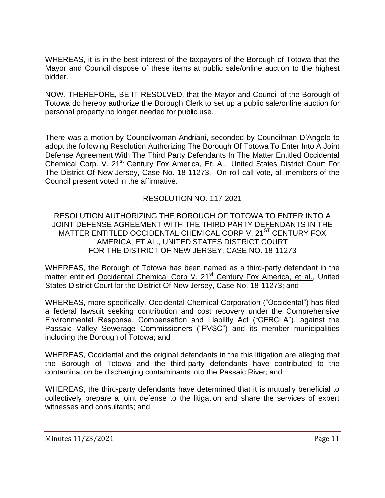WHEREAS, it is in the best interest of the taxpayers of the Borough of Totowa that the Mayor and Council dispose of these items at public sale/online auction to the highest bidder.

NOW, THEREFORE, BE IT RESOLVED, that the Mayor and Council of the Borough of Totowa do hereby authorize the Borough Clerk to set up a public sale/online auction for personal property no longer needed for public use.

There was a motion by Councilwoman Andriani, seconded by Councilman D'Angelo to adopt the following Resolution Authorizing The Borough Of Totowa To Enter Into A Joint Defense Agreement With The Third Party Defendants In The Matter Entitled Occidental Chemical Corp. V. 21<sup>st</sup> Century Fox America, Et. Al., United States District Court For The District Of New Jersey, Case No. 18-11273. On roll call vote, all members of the Council present voted in the affirmative.

# RESOLUTION NO. 117-2021

RESOLUTION AUTHORIZING THE BOROUGH OF TOTOWA TO ENTER INTO A JOINT DEFENSE AGREEMENT WITH THE THIRD PARTY DEFENDANTS IN THE MATTER ENTITLED OCCIDENTAL CHEMICAL CORP V. 21<sup>ST</sup> CENTURY FOX AMERICA, ET AL., UNITED STATES DISTRICT COURT FOR THE DISTRICT OF NEW JERSEY, CASE NO. 18-11273

WHEREAS, the Borough of Totowa has been named as a third-party defendant in the matter entitled Occidental Chemical Corp V. 21<sup>st</sup> Century Fox America, et al., United States District Court for the District Of New Jersey, Case No. 18-11273; and

WHEREAS, more specifically, Occidental Chemical Corporation ("Occidental") has filed a federal lawsuit seeking contribution and cost recovery under the Comprehensive Environmental Response, Compensation and Liability Act ("CERCLA"). against the Passaic Valley Sewerage Commissioners ("PVSC") and its member municipalities including the Borough of Totowa; and

WHEREAS, Occidental and the original defendants in the this litigation are alleging that the Borough of Totowa and the third-party defendants have contributed to the contamination be discharging contaminants into the Passaic River; and

WHEREAS, the third-party defendants have determined that it is mutually beneficial to collectively prepare a joint defense to the litigation and share the services of expert witnesses and consultants; and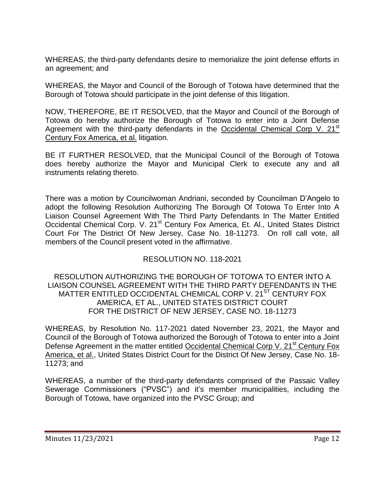WHEREAS, the third-party defendants desire to memorialize the joint defense efforts in an agreement; and

WHEREAS, the Mayor and Council of the Borough of Totowa have determined that the Borough of Totowa should participate in the joint defense of this litigation.

NOW, THEREFORE, BE IT RESOLVED, that the Mayor and Council of the Borough of Totowa do hereby authorize the Borough of Totowa to enter into a Joint Defense Agreement with the third-party defendants in the Occidental Chemical Corp V. 21<sup>st</sup> Century Fox America, et al. litigation.

BE IT FURTHER RESOLVED, that the Municipal Council of the Borough of Totowa does hereby authorize the Mayor and Municipal Clerk to execute any and all instruments relating thereto.

There was a motion by Councilwoman Andriani, seconded by Councilman D'Angelo to adopt the following Resolution Authorizing The Borough Of Totowa To Enter Into A Liaison Counsel Agreement With The Third Party Defendants In The Matter Entitled Occidental Chemical Corp. V. 21<sup>st</sup> Century Fox America, Et. Al., United States District Court For The District Of New Jersey, Case No. 18-11273. On roll call vote, all members of the Council present voted in the affirmative.

# RESOLUTION NO. 118-2021

### RESOLUTION AUTHORIZING THE BOROUGH OF TOTOWA TO ENTER INTO A LIAISON COUNSEL AGREEMENT WITH THE THIRD PARTY DEFENDANTS IN THE MATTER ENTITLED OCCIDENTAL CHEMICAL CORP V. 21<sup>ST</sup> CENTURY FOX AMERICA, ET AL., UNITED STATES DISTRICT COURT FOR THE DISTRICT OF NEW JERSEY, CASE NO. 18-11273

WHEREAS, by Resolution No. 117-2021 dated November 23, 2021, the Mayor and Council of the Borough of Totowa authorized the Borough of Totowa to enter into a Joint Defense Agreement in the matter entitled Occidental Chemical Corp V. 21<sup>st</sup> Century Fox America, et al., United States District Court for the District Of New Jersey, Case No. 18- 11273; and

WHEREAS, a number of the third-party defendants comprised of the Passaic Valley Sewerage Commissioners ("PVSC") and it's member municipalities, including the Borough of Totowa, have organized into the PVSC Group; and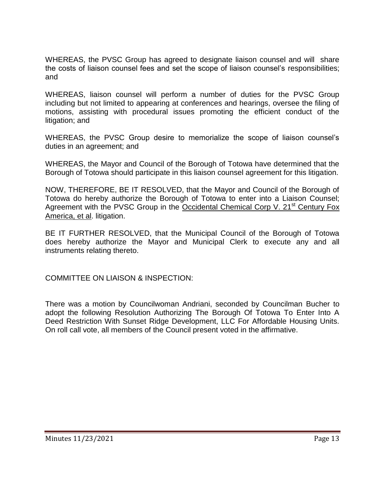WHEREAS, the PVSC Group has agreed to designate liaison counsel and will share the costs of liaison counsel fees and set the scope of liaison counsel's responsibilities; and

WHEREAS, liaison counsel will perform a number of duties for the PVSC Group including but not limited to appearing at conferences and hearings, oversee the filing of motions, assisting with procedural issues promoting the efficient conduct of the litigation; and

WHEREAS, the PVSC Group desire to memorialize the scope of liaison counsel's duties in an agreement; and

WHEREAS, the Mayor and Council of the Borough of Totowa have determined that the Borough of Totowa should participate in this liaison counsel agreement for this litigation.

NOW, THEREFORE, BE IT RESOLVED, that the Mayor and Council of the Borough of Totowa do hereby authorize the Borough of Totowa to enter into a Liaison Counsel; Agreement with the PVSC Group in the Occidental Chemical Corp V.  $21<sup>st</sup>$  Century Fox America, et al. litigation.

BE IT FURTHER RESOLVED, that the Municipal Council of the Borough of Totowa does hereby authorize the Mayor and Municipal Clerk to execute any and all instruments relating thereto.

COMMITTEE ON LIAISON & INSPECTION:

There was a motion by Councilwoman Andriani, seconded by Councilman Bucher to adopt the following Resolution Authorizing The Borough Of Totowa To Enter Into A Deed Restriction With Sunset Ridge Development, LLC For Affordable Housing Units. On roll call vote, all members of the Council present voted in the affirmative.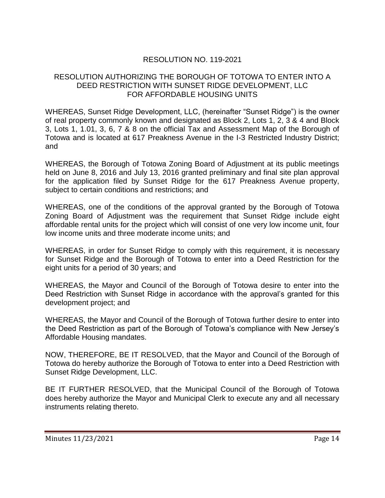# RESOLUTION NO. 119-2021

### RESOLUTION AUTHORIZING THE BOROUGH OF TOTOWA TO ENTER INTO A DEED RESTRICTION WITH SUNSET RIDGE DEVELOPMENT, LLC FOR AFFORDABLE HOUSING UNITS

WHEREAS, Sunset Ridge Development, LLC, (hereinafter "Sunset Ridge") is the owner of real property commonly known and designated as Block 2, Lots 1, 2, 3 & 4 and Block 3, Lots 1, 1.01, 3, 6, 7 & 8 on the official Tax and Assessment Map of the Borough of Totowa and is located at 617 Preakness Avenue in the I-3 Restricted Industry District; and

WHEREAS, the Borough of Totowa Zoning Board of Adjustment at its public meetings held on June 8, 2016 and July 13, 2016 granted preliminary and final site plan approval for the application filed by Sunset Ridge for the 617 Preakness Avenue property, subject to certain conditions and restrictions; and

WHEREAS, one of the conditions of the approval granted by the Borough of Totowa Zoning Board of Adjustment was the requirement that Sunset Ridge include eight affordable rental units for the project which will consist of one very low income unit, four low income units and three moderate income units; and

WHEREAS, in order for Sunset Ridge to comply with this requirement, it is necessary for Sunset Ridge and the Borough of Totowa to enter into a Deed Restriction for the eight units for a period of 30 years; and

WHEREAS, the Mayor and Council of the Borough of Totowa desire to enter into the Deed Restriction with Sunset Ridge in accordance with the approval's granted for this development project; and

WHEREAS, the Mayor and Council of the Borough of Totowa further desire to enter into the Deed Restriction as part of the Borough of Totowa's compliance with New Jersey's Affordable Housing mandates.

NOW, THEREFORE, BE IT RESOLVED, that the Mayor and Council of the Borough of Totowa do hereby authorize the Borough of Totowa to enter into a Deed Restriction with Sunset Ridge Development, LLC.

BE IT FURTHER RESOLVED, that the Municipal Council of the Borough of Totowa does hereby authorize the Mayor and Municipal Clerk to execute any and all necessary instruments relating thereto.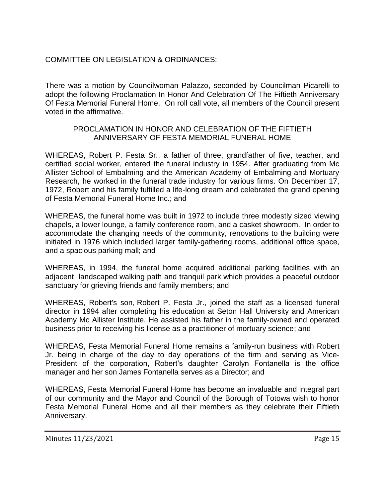# COMMITTEE ON LEGISLATION & ORDINANCES:

There was a motion by Councilwoman Palazzo, seconded by Councilman Picarelli to adopt the following Proclamation In Honor And Celebration Of The Fiftieth Anniversary Of Festa Memorial Funeral Home. On roll call vote, all members of the Council present voted in the affirmative.

### PROCLAMATION IN HONOR AND CELEBRATION OF THE FIFTIETH ANNIVERSARY OF FESTA MEMORIAL FUNERAL HOME

WHEREAS, Robert P. Festa Sr., a father of three, grandfather of five, teacher, and certified social worker, entered the funeral industry in 1954. After graduating from Mc Allister School of Embalming and the American Academy of Embalming and Mortuary Research, he worked in the funeral trade industry for various firms. On December 17, 1972, Robert and his family fulfilled a life-long dream and celebrated the grand opening of Festa Memorial Funeral Home Inc.; and

WHEREAS, the funeral home was built in 1972 to include three modestly sized viewing chapels, a lower lounge, a family conference room, and a casket showroom. In order to accommodate the changing needs of the community, renovations to the building were initiated in 1976 which included larger family-gathering rooms, additional office space, and a spacious parking mall; and

WHEREAS, in 1994, the funeral home acquired additional parking facilities with an adjacent landscaped walking path and tranquil park which provides a peaceful outdoor sanctuary for grieving friends and family members; and

WHEREAS, Robert's son, Robert P. Festa Jr., joined the staff as a licensed funeral director in 1994 after completing his education at Seton Hall University and American Academy Mc Allister Institute. He assisted his father in the family-owned and operated business prior to receiving his license as a practitioner of mortuary science; and

WHEREAS, Festa Memorial Funeral Home remains a family-run business with Robert Jr. being in charge of the day to day operations of the firm and serving as Vice-President of the corporation, Robert's daughter Carolyn Fontanella is the office manager and her son James Fontanella serves as a Director; and

WHEREAS, Festa Memorial Funeral Home has become an invaluable and integral part of our community and the Mayor and Council of the Borough of Totowa wish to honor Festa Memorial Funeral Home and all their members as they celebrate their Fiftieth Anniversary.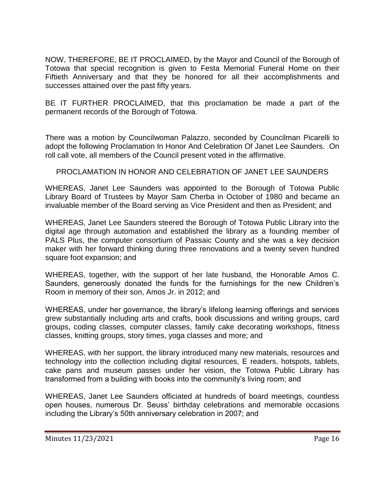NOW, THEREFORE, BE IT PROCLAIMED, by the Mayor and Council of the Borough of Totowa that special recognition is given to Festa Memorial Funeral Home on their Fiftieth Anniversary and that they be honored for all their accomplishments and successes attained over the past fifty years.

BE IT FURTHER PROCLAIMED, that this proclamation be made a part of the permanent records of the Borough of Totowa.

There was a motion by Councilwoman Palazzo, seconded by Councilman Picarelli to adopt the following Proclamation In Honor And Celebration Of Janet Lee Saunders. On roll call vote, all members of the Council present voted in the affirmative.

# PROCLAMATION IN HONOR AND CELEBRATION OF JANET LEE SAUNDERS

WHEREAS, Janet Lee Saunders was appointed to the Borough of Totowa Public Library Board of Trustees by Mayor Sam Cherba in October of 1980 and became an invaluable member of the Board serving as Vice President and then as President; and

WHEREAS, Janet Lee Saunders steered the Borough of Totowa Public Library into the digital age through automation and established the library as a founding member of PALS Plus, the computer consortium of Passaic County and she was a key decision maker with her forward thinking during three renovations and a twenty seven hundred square foot expansion; and

WHEREAS, together, with the support of her late husband, the Honorable Amos C. Saunders, generously donated the funds for the furnishings for the new Children's Room in memory of their son, Amos Jr. in 2012; and

WHEREAS, under her governance, the library's lifelong learning offerings and services grew substantially including arts and crafts, book discussions and writing groups, card groups, coding classes, computer classes, family cake decorating workshops, fitness classes, knitting groups, story times, yoga classes and more; and

WHEREAS, with her support, the library introduced many new materials, resources and technology into the collection including digital resources, E readers, hotspots, tablets, cake pans and museum passes under her vision, the Totowa Public Library has transformed from a building with books into the community's living room; and

WHEREAS, Janet Lee Saunders officiated at hundreds of board meetings, countless open houses, numerous Dr. Seuss' birthday celebrations and memorable occasions including the Library's 50th anniversary celebration in 2007; and